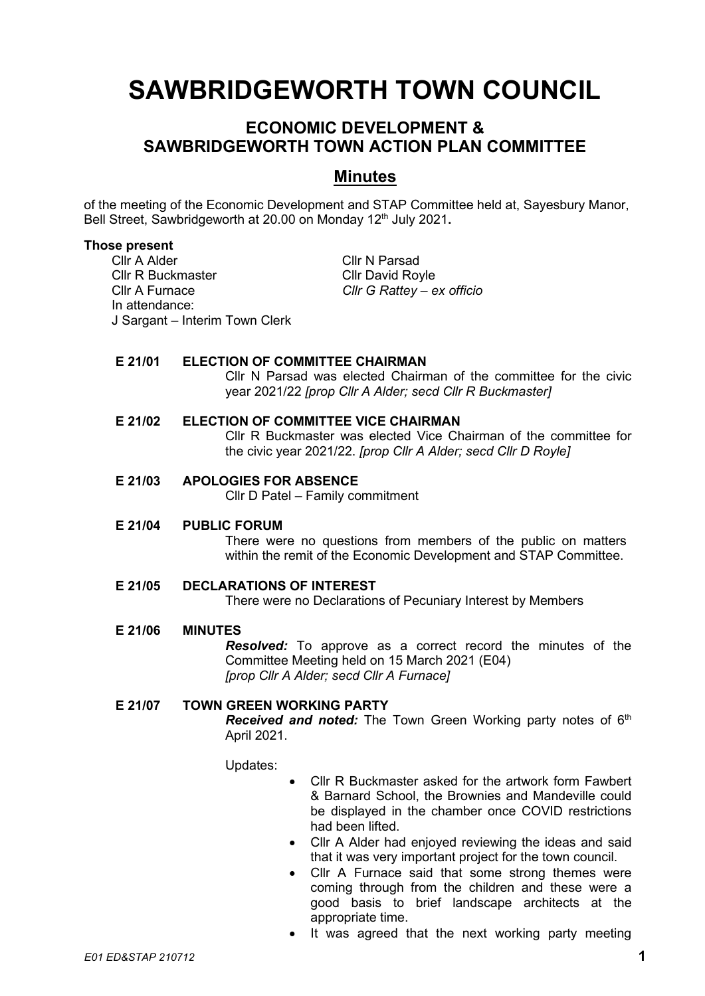# **SAWBRIDGEWORTH TOWN COUNCIL**

# **ECONOMIC DEVELOPMENT & SAWBRIDGEWORTH TOWN ACTION PLAN COMMITTEE**

# **Minutes**

of the meeting of the Economic Development and STAP Committee held at, Sayesbury Manor, Bell Street, Sawbridgeworth at 20.00 on Monday 12<sup>th</sup> July 2021.

#### **Those present**

Cllr A Alder Cllr N Parsad Cllr R Buckmaster Cllr David Royle Cllr A Furnace *Cllr G Rattey – ex officio* In attendance: J Sargant – Interim Town Clerk

### **E 21/01 ELECTION OF COMMITTEE CHAIRMAN**

Cllr N Parsad was elected Chairman of the committee for the civic year 2021/22 *[prop Cllr A Alder; secd Cllr R Buckmaster]*

# **E 21/02 ELECTION OF COMMITTEE VICE CHAIRMAN**

Cllr R Buckmaster was elected Vice Chairman of the committee for the civic year 2021/22. *[prop Cllr A Alder; secd Cllr D Royle]*

#### **E 21/03 APOLOGIES FOR ABSENCE**

Cllr D Patel – Family commitment

### **E 21/04 PUBLIC FORUM**

There were no questions from members of the public on matters within the remit of the Economic Development and STAP Committee.

## **E 21/05 DECLARATIONS OF INTEREST**

There were no Declarations of Pecuniary Interest by Members

### **E 21/06 MINUTES**

*Resolved:* To approve as a correct record the minutes of the Committee Meeting held on 15 March 2021 (E04) *[prop Cllr A Alder; secd Cllr A Furnace]*

### **E 21/07 TOWN GREEN WORKING PARTY**

*Received and noted:* The Town Green Working party notes of 6<sup>th</sup> April 2021.

Updates:

- Cllr R Buckmaster asked for the artwork form Fawbert & Barnard School, the Brownies and Mandeville could be displayed in the chamber once COVID restrictions had been lifted.
- Cllr A Alder had enjoyed reviewing the ideas and said that it was very important project for the town council.
- Cllr A Furnace said that some strong themes were coming through from the children and these were a good basis to brief landscape architects at the appropriate time.
- It was agreed that the next working party meeting